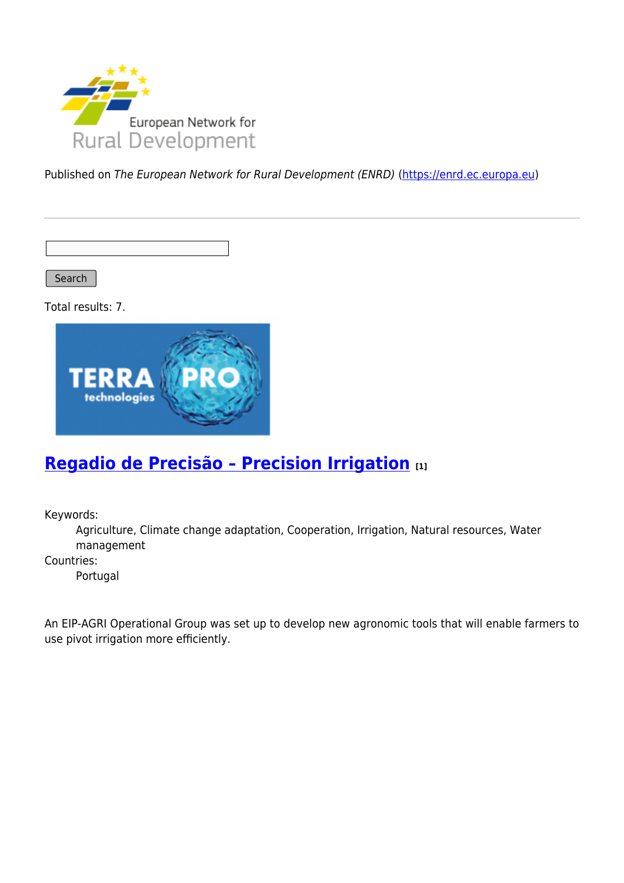

Published on The European Network for Rural Development (ENRD) [\(https://enrd.ec.europa.eu](https://enrd.ec.europa.eu))

Search

Total results: 7.



#### **[Regadio de Precisão – Precision Irrigation](https://enrd.ec.europa.eu/projects-practice/regadio-de-precisao-precision-irrigation_en) [1]**

Keywords:

Agriculture, Climate change adaptation, Cooperation, Irrigation, Natural resources, Water management

Countries:

Portugal

An EIP-AGRI Operational Group was set up to develop new agronomic tools that will enable farmers to use pivot irrigation more efficiently.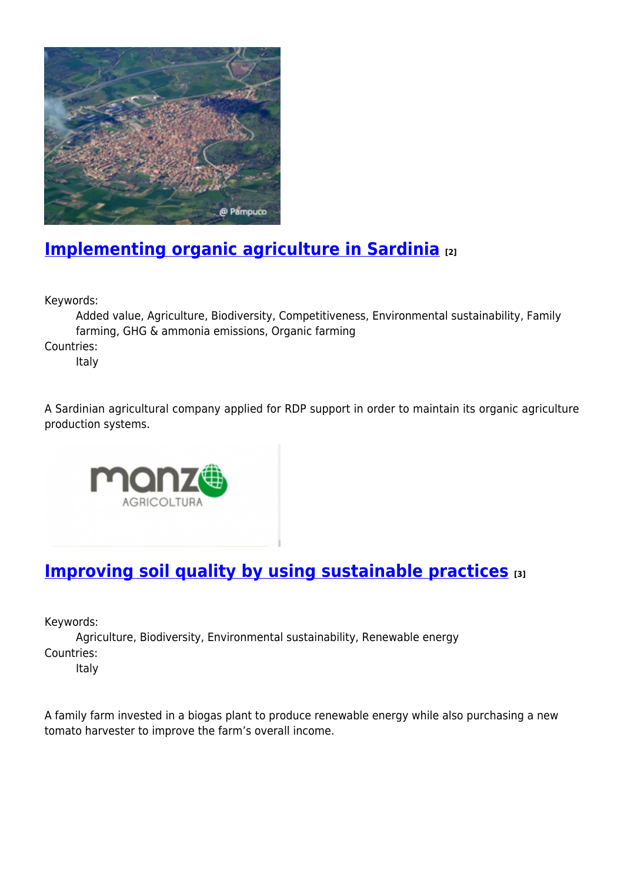

## **[Implementing organic agriculture in Sardinia](https://enrd.ec.europa.eu/projects-practice/implementing-organic-agriculture-sardinia_en) [2]**

Keywords:

Added value, Agriculture, Biodiversity, Competitiveness, Environmental sustainability, Family farming, GHG & ammonia emissions, Organic farming

Countries:

Italy

A Sardinian agricultural company applied for RDP support in order to maintain its organic agriculture production systems.



# **[Improving soil quality by using sustainable practices](https://enrd.ec.europa.eu/projects-practice/improving-soil-quality-using-sustainable-practices_en) [3]**

Keywords:

Agriculture, Biodiversity, Environmental sustainability, Renewable energy Countries:

Italy

A family farm invested in a biogas plant to produce renewable energy while also purchasing a new tomato harvester to improve the farm's overall income.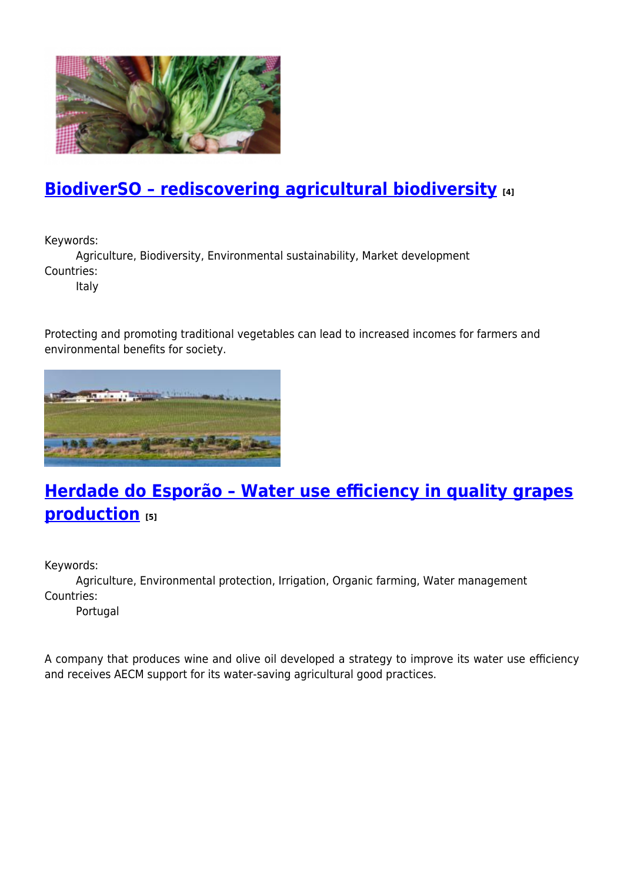

### **[BiodiverSO – rediscovering agricultural biodiversity](https://enrd.ec.europa.eu/projects-practice/biodiverso-rediscovering-agricultural-biodiversity_en) [4]**

Keywords:

Agriculture, Biodiversity, Environmental sustainability, Market development Countries:

Italy

Protecting and promoting traditional vegetables can lead to increased incomes for farmers and environmental benefits for society.



# **[Herdade do Esporão – Water use efficiency in quality grapes](https://enrd.ec.europa.eu/projects-practice/herdade-do-esporao-water-use-efficiency-quality-grapes-production_en) [production](https://enrd.ec.europa.eu/projects-practice/herdade-do-esporao-water-use-efficiency-quality-grapes-production_en) [5]**

Keywords:

Agriculture, Environmental protection, Irrigation, Organic farming, Water management Countries:

Portugal

A company that produces wine and olive oil developed a strategy to improve its water use efficiency and receives AECM support for its water-saving agricultural good practices.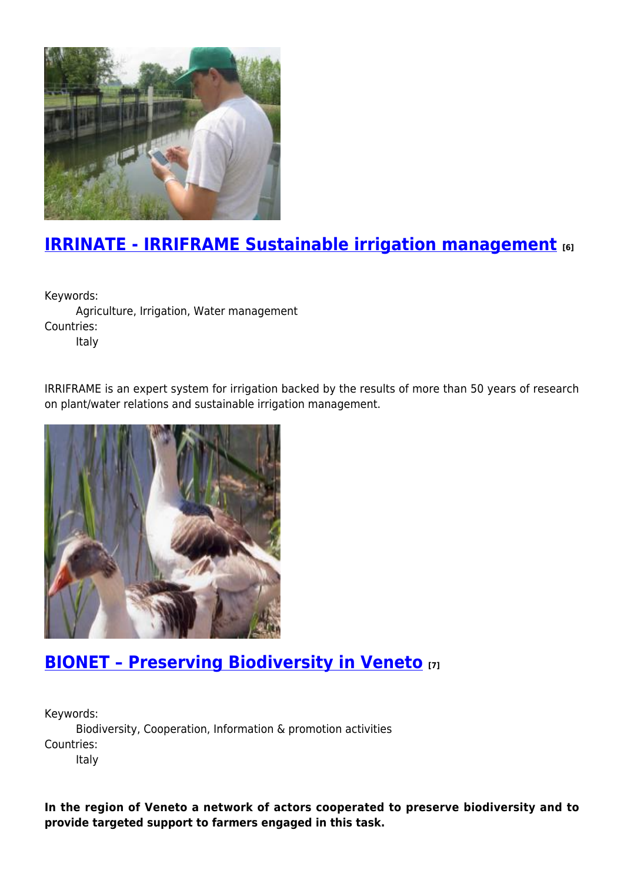

## **[IRRINATE - IRRIFRAME Sustainable irrigation management](https://enrd.ec.europa.eu/projects-practice/irrinate-irriframe-sustainable-irrigation-management-0_en) [6]**

Keywords:

Agriculture, Irrigation, Water management Countries:

Italy

IRRIFRAME is an expert system for irrigation backed by the results of more than 50 years of research on plant/water relations and sustainable irrigation management.



#### **[BIONET – Preserving Biodiversity in Veneto](https://enrd.ec.europa.eu/projects-practice/bionet-%E2%80%93-preserving-biodiversity-veneto_en) [7]**

Keywords: Biodiversity, Cooperation, Information & promotion activities Countries:

Italy

**In the region of Veneto a network of actors cooperated to preserve biodiversity and to provide targeted support to farmers engaged in this task.**